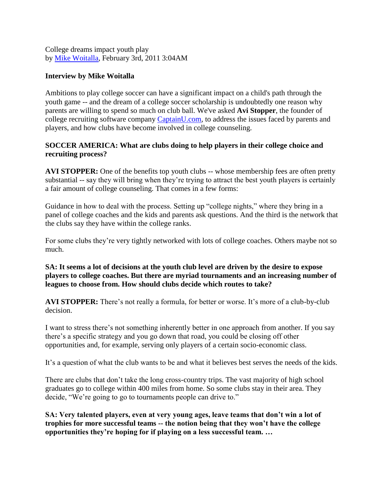College dreams impact youth play by [Mike Woitalla,](http://www.socceramerica.com/author/40/mike-woitalla/) February 3rd, 2011 3:04AM

## **Interview by Mike Woitalla**

Ambitions to play college soccer can have a significant impact on a child's path through the youth game -- and the dream of a college soccer scholarship is undoubtedly one reason why parents are willing to spend so much on club ball. We've asked **Avi Stopper**, the founder of college recruiting software company [CaptainU.com,](http://www.captainu.com/) to address the issues faced by parents and players, and how clubs have become involved in college counseling.

# **SOCCER AMERICA: What are clubs doing to help players in their college choice and recruiting process?**

**AVI STOPPER:** One of the benefits top youth clubs -- whose membership fees are often pretty substantial -- say they will bring when they're trying to attract the best youth players is certainly a fair amount of college counseling. That comes in a few forms:

Guidance in how to deal with the process. Setting up "college nights," where they bring in a panel of college coaches and the kids and parents ask questions. And the third is the network that the clubs say they have within the college ranks.

For some clubs they're very tightly networked with lots of college coaches. Others maybe not so much.

**SA: It seems a lot of decisions at the youth club level are driven by the desire to expose players to college coaches. But there are myriad tournaments and an increasing number of leagues to choose from. How should clubs decide which routes to take?** 

**AVI STOPPER:** There's not really a formula, for better or worse. It's more of a club-by-club decision.

I want to stress there's not something inherently better in one approach from another. If you say there's a specific strategy and you go down that road, you could be closing off other opportunities and, for example, serving only players of a certain socio-economic class.

It's a question of what the club wants to be and what it believes best serves the needs of the kids.

There are clubs that don't take the long cross-country trips. The vast majority of high school graduates go to college within 400 miles from home. So some clubs stay in their area. They decide, "We're going to go to tournaments people can drive to."

**SA: Very talented players, even at very young ages, leave teams that don't win a lot of trophies for more successful teams -- the notion being that they won't have the college opportunities they're hoping for if playing on a less successful team. …**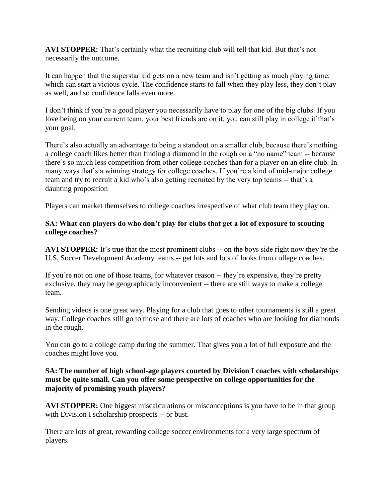**AVI STOPPER:** That's certainly what the recruiting club will tell that kid. But that's not necessarily the outcome.

It can happen that the superstar kid gets on a new team and isn't getting as much playing time, which can start a vicious cycle. The confidence starts to fall when they play less, they don't play as well, and so confidence falls even more.

I don't think if you're a good player you necessarily have to play for one of the big clubs. If you love being on your current team, your best friends are on it, you can still play in college if that's your goal.

There's also actually an advantage to being a standout on a smaller club, because there's nothing a college coach likes better than finding a diamond in the rough on a "no name" team -- because there's so much less competition from other college coaches than for a player on an elite club. In many ways that's a winning strategy for college coaches. If you're a kind of mid-major college team and try to recruit a kid who's also getting recruited by the very top teams -- that's a daunting proposition

Players can market themselves to college coaches irrespective of what club team they play on.

### **SA: What can players do who don't play for clubs that get a lot of exposure to scouting college coaches?**

**AVI STOPPER:** It's true that the most prominent clubs -- on the boys side right now they're the U.S. Soccer Development Academy teams -- get lots and lots of looks from college coaches.

If you're not on one of those teams, for whatever reason -- they're expensive, they're pretty exclusive, they may be geographically inconvenient -- there are still ways to make a college team.

Sending videos is one great way. Playing for a club that goes to other tournaments is still a great way. College coaches still go to those and there are lots of coaches who are looking for diamonds in the rough.

You can go to a college camp during the summer. That gives you a lot of full exposure and the coaches might love you.

### **SA: The number of high school-age players courted by Division I coaches with scholarships must be quite small. Can you offer some perspective on college opportunities for the majority of promising youth players?**

**AVI STOPPER:** One biggest miscalculations or misconceptions is you have to be in that group with Division I scholarship prospects -- or bust.

There are lots of great, rewarding college soccer environments for a very large spectrum of players.